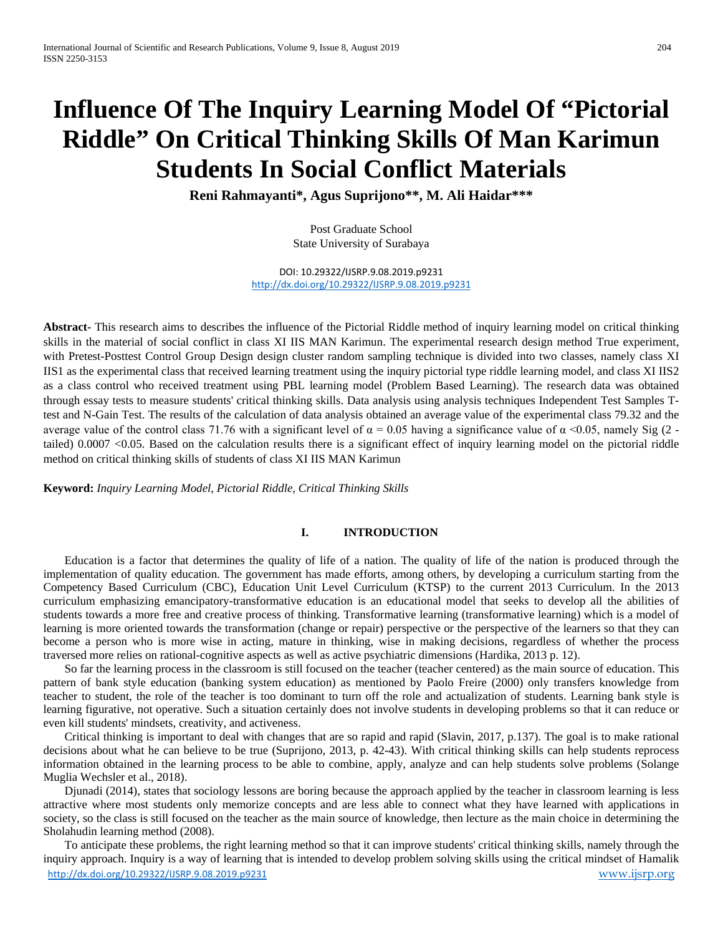# **Influence Of The Inquiry Learning Model Of "Pictorial Riddle" On Critical Thinking Skills Of Man Karimun Students In Social Conflict Materials**

**Reni Rahmayanti\*, Agus Suprijono\*\*, M. Ali Haidar\*\*\***

Post Graduate School State University of Surabaya

DOI: 10.29322/IJSRP.9.08.2019.p9231 <http://dx.doi.org/10.29322/IJSRP.9.08.2019.p9231>

**Abstract-** This research aims to describes the influence of the Pictorial Riddle method of inquiry learning model on critical thinking skills in the material of social conflict in class XI IIS MAN Karimun. The experimental research design method True experiment, with Pretest-Posttest Control Group Design design cluster random sampling technique is divided into two classes, namely class XI IIS1 as the experimental class that received learning treatment using the inquiry pictorial type riddle learning model, and class XI IIS2 as a class control who received treatment using PBL learning model (Problem Based Learning). The research data was obtained through essay tests to measure students' critical thinking skills. Data analysis using analysis techniques Independent Test Samples Ttest and N-Gain Test. The results of the calculation of data analysis obtained an average value of the experimental class 79.32 and the average value of the control class 71.76 with a significant level of  $\alpha = 0.05$  having a significance value of  $\alpha$  <0.05, namely Sig (2 tailed) 0.0007 <0.05. Based on the calculation results there is a significant effect of inquiry learning model on the pictorial riddle method on critical thinking skills of students of class XI IIS MAN Karimun

**Keyword:** *Inquiry Learning Model, Pictorial Riddle, Critical Thinking Skills*

# **I. INTRODUCTION**

Education is a factor that determines the quality of life of a nation. The quality of life of the nation is produced through the implementation of quality education. The government has made efforts, among others, by developing a curriculum starting from the Competency Based Curriculum (CBC), Education Unit Level Curriculum (KTSP) to the current 2013 Curriculum. In the 2013 curriculum emphasizing emancipatory-transformative education is an educational model that seeks to develop all the abilities of students towards a more free and creative process of thinking. Transformative learning (transformative learning) which is a model of learning is more oriented towards the transformation (change or repair) perspective or the perspective of the learners so that they can become a person who is more wise in acting, mature in thinking, wise in making decisions, regardless of whether the process traversed more relies on rational-cognitive aspects as well as active psychiatric dimensions (Hardika, 2013 p. 12).

So far the learning process in the classroom is still focused on the teacher (teacher centered) as the main source of education. This pattern of bank style education (banking system education) as mentioned by Paolo Freire (2000) only transfers knowledge from teacher to student, the role of the teacher is too dominant to turn off the role and actualization of students. Learning bank style is learning figurative, not operative. Such a situation certainly does not involve students in developing problems so that it can reduce or even kill students' mindsets, creativity, and activeness.

Critical thinking is important to deal with changes that are so rapid and rapid (Slavin, 2017, p.137). The goal is to make rational decisions about what he can believe to be true (Suprijono, 2013, p. 42-43). With critical thinking skills can help students reprocess information obtained in the learning process to be able to combine, apply, analyze and can help students solve problems (Solange Muglia Wechsler et al., 2018).

Djunadi (2014), states that sociology lessons are boring because the approach applied by the teacher in classroom learning is less attractive where most students only memorize concepts and are less able to connect what they have learned with applications in society, so the class is still focused on the teacher as the main source of knowledge, then lecture as the main choice in determining the Sholahudin learning method (2008).

<http://dx.doi.org/10.29322/IJSRP.9.08.2019.p9231> [www.ijsrp.org](http://ijsrp.org/) To anticipate these problems, the right learning method so that it can improve students' critical thinking skills, namely through the inquiry approach. Inquiry is a way of learning that is intended to develop problem solving skills using the critical mindset of Hamalik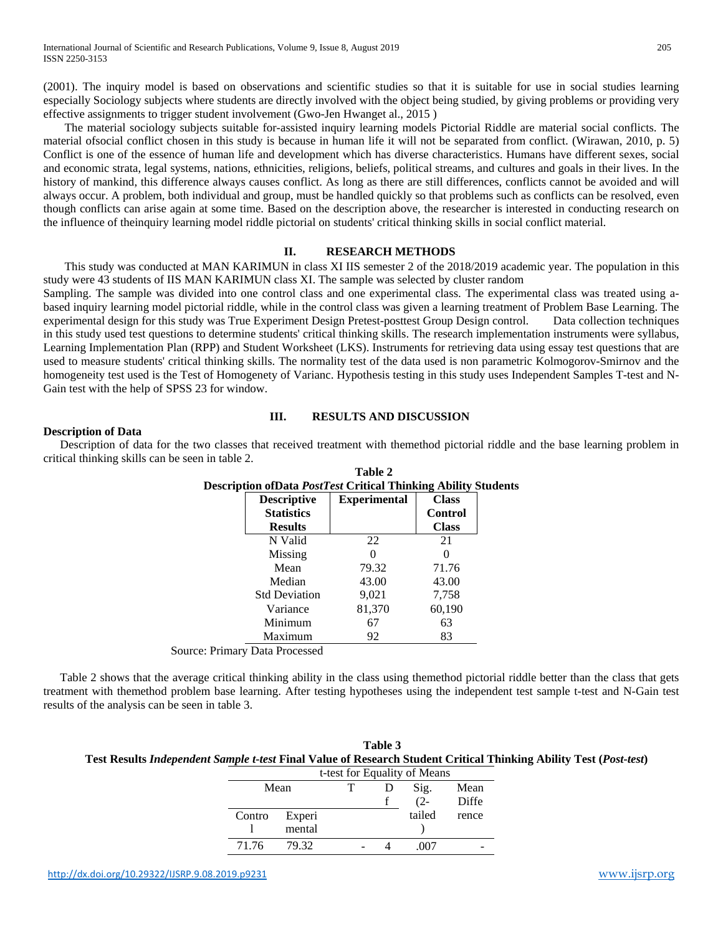(2001). The inquiry model is based on observations and scientific studies so that it is suitable for use in social studies learning especially Sociology subjects where students are directly involved with the object being studied, by giving problems or providing very effective assignments to trigger student involvement (Gwo-Jen Hwanget al., 2015 )

The material sociology subjects suitable for-assisted inquiry learning models Pictorial Riddle are material social conflicts. The material ofsocial conflict chosen in this study is because in human life it will not be separated from conflict. (Wirawan, 2010, p. 5) Conflict is one of the essence of human life and development which has diverse characteristics. Humans have different sexes, social and economic strata, legal systems, nations, ethnicities, religions, beliefs, political streams, and cultures and goals in their lives. In the history of mankind, this difference always causes conflict. As long as there are still differences, conflicts cannot be avoided and will always occur. A problem, both individual and group, must be handled quickly so that problems such as conflicts can be resolved, even though conflicts can arise again at some time. Based on the description above, the researcher is interested in conducting research on the influence of theinquiry learning model riddle pictorial on students' critical thinking skills in social conflict material.

### **II. RESEARCH METHODS**

This study was conducted at MAN KARIMUN in class XI IIS semester 2 of the 2018/2019 academic year. The population in this study were 43 students of IIS MAN KARIMUN class XI. The sample was selected by cluster random

Sampling. The sample was divided into one control class and one experimental class. The experimental class was treated using abased inquiry learning model pictorial riddle, while in the control class was given a learning treatment of Problem Base Learning. The experimental design for this study was True Experiment Design Pretest-posttest Group Design control. Data collection techniques in this study used test questions to determine students' critical thinking skills. The research implementation instruments were syllabus, Learning Implementation Plan (RPP) and Student Worksheet (LKS). Instruments for retrieving data using essay test questions that are used to measure students' critical thinking skills. The normality test of the data used is non parametric Kolmogorov-Smirnov and the homogeneity test used is the Test of Homogenety of Varianc. Hypothesis testing in this study uses Independent Samples T-test and N-Gain test with the help of SPSS 23 for window.

#### **III. RESULTS AND DISCUSSION**

**Table 2**

#### **Description of Data**

Description of data for the two classes that received treatment with themethod pictorial riddle and the base learning problem in critical thinking skills can be seen in table 2.

| <b>Description of Data PostTest Critical Thinking Ability Students</b> |                      |                     |                |  |  |  |
|------------------------------------------------------------------------|----------------------|---------------------|----------------|--|--|--|
|                                                                        | <b>Descriptive</b>   | <b>Experimental</b> | <b>Class</b>   |  |  |  |
|                                                                        | <b>Statistics</b>    |                     | <b>Control</b> |  |  |  |
|                                                                        | <b>Results</b>       |                     | <b>Class</b>   |  |  |  |
|                                                                        | N Valid              | 22                  | 21             |  |  |  |
|                                                                        | Missing              | 0                   |                |  |  |  |
|                                                                        | Mean                 | 79.32               | 71.76          |  |  |  |
|                                                                        | Median               | 43.00               | 43.00          |  |  |  |
|                                                                        | <b>Std Deviation</b> | 9,021               | 7,758          |  |  |  |
|                                                                        | Variance             | 81,370              | 60,190         |  |  |  |
|                                                                        | Minimum              | 67                  | 63             |  |  |  |
|                                                                        | Maximum              | 92                  | 83             |  |  |  |
|                                                                        |                      |                     |                |  |  |  |

Source: Primary Data Processed

Table 2 shows that the average critical thinking ability in the class using themethod pictorial riddle better than the class that gets treatment with themethod problem base learning. After testing hypotheses using the independent test sample t-test and N-Gain test results of the analysis can be seen in table 3.

| Table 3                                                                                                                                           |
|---------------------------------------------------------------------------------------------------------------------------------------------------|
| Test Results Independent Sample t-test Final Value of Research Student Critical Thinking Ability Test (Post-test)                                 |
| $\mathbf{A}$ and $\mathbf{C}$ and $\mathbf{D}$ are $\mathbf{A}$ in $\mathbf{C}$ in $\mathbf{A}$ in $\mathbf{A}$ and $\mathbf{A}$ are $\mathbf{C}$ |

|        |        |  | t-test for Equality of Means |       |
|--------|--------|--|------------------------------|-------|
| Mean   |        |  | Sig.                         | Mean  |
|        |        |  | $(2 -$                       | Diffe |
| Contro | Experi |  | tailed                       | rence |
|        | mental |  |                              |       |
| 71.76  | 79.32  |  | 007                          |       |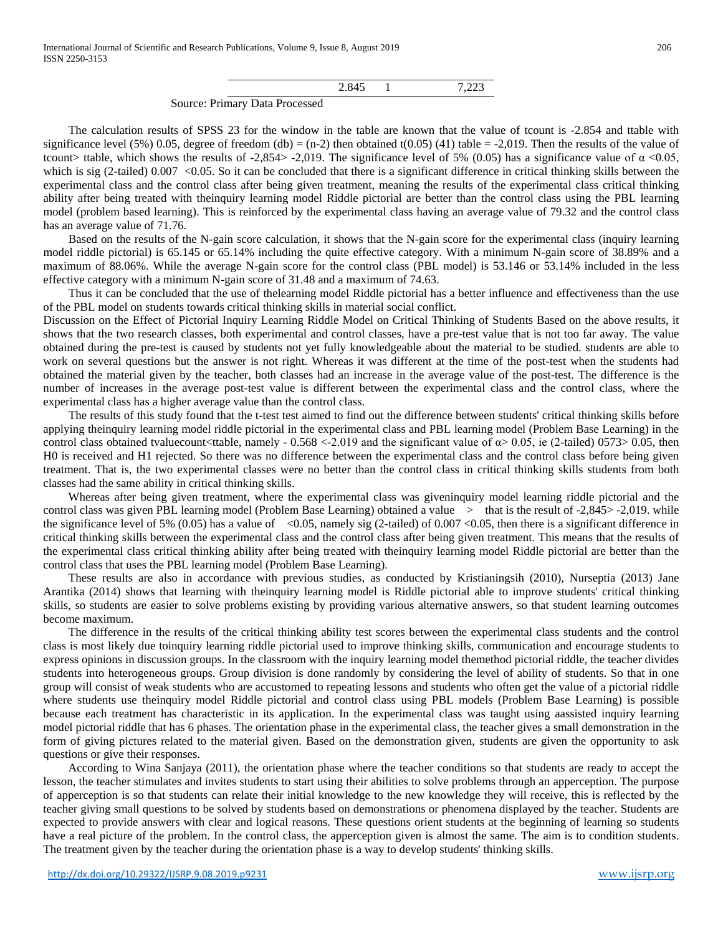|  | $\sim$ $\sim$<br>$, - - -$ |
|--|----------------------------|

Source: Primary Data Processed

The calculation results of SPSS 23 for the window in the table are known that the value of tcount is -2.854 and ttable with significance level (5%) 0.05, degree of freedom (db) =  $(n-2)$  then obtained t(0.05) (41) table = -2,019. Then the results of the value of tcount> ttable, which shows the results of -2,854> -2,019. The significance level of 5% (0.05) has a significance value of  $\alpha$  <0.05, which is sig (2-tailed)  $0.007 < 0.05$ . So it can be concluded that there is a significant difference in critical thinking skills between the experimental class and the control class after being given treatment, meaning the results of the experimental class critical thinking ability after being treated with theinquiry learning model Riddle pictorial are better than the control class using the PBL learning model (problem based learning). This is reinforced by the experimental class having an average value of 79.32 and the control class has an average value of 71.76.

Based on the results of the N-gain score calculation, it shows that the N-gain score for the experimental class (inquiry learning model riddle pictorial) is 65.145 or 65.14% including the quite effective category. With a minimum N-gain score of 38.89% and a maximum of 88.06%. While the average N-gain score for the control class (PBL model) is 53.146 or 53.14% included in the less effective category with a minimum N-gain score of 31.48 and a maximum of 74.63.

Thus it can be concluded that the use of thelearning model Riddle pictorial has a better influence and effectiveness than the use of the PBL model on students towards critical thinking skills in material social conflict.

Discussion on the Effect of Pictorial Inquiry Learning Riddle Model on Critical Thinking of Students Based on the above results, it shows that the two research classes, both experimental and control classes, have a pre-test value that is not too far away. The value obtained during the pre-test is caused by students not yet fully knowledgeable about the material to be studied. students are able to work on several questions but the answer is not right. Whereas it was different at the time of the post-test when the students had obtained the material given by the teacher, both classes had an increase in the average value of the post-test. The difference is the number of increases in the average post-test value is different between the experimental class and the control class, where the experimental class has a higher average value than the control class.

The results of this study found that the t-test test aimed to find out the difference between students' critical thinking skills before applying theinquiry learning model riddle pictorial in the experimental class and PBL learning model (Problem Base Learning) in the control class obtained tvaluecount<ttable, namely -  $0.568 \lt 2.019$  and the significant value of  $\alpha$  > 0.05, ie (2-tailed) 0573> 0.05, then H0 is received and H1 rejected. So there was no difference between the experimental class and the control class before being given treatment. That is, the two experimental classes were no better than the control class in critical thinking skills students from both classes had the same ability in critical thinking skills.

Whereas after being given treatment, where the experimental class was giveninquiry model learning riddle pictorial and the control class was given PBL learning model (Problem Base Learning) obtained a value  $>$  that is the result of  $-2,845> -2,019$ . while the significance level of 5% (0.05) has a value of  $\leq 0.05$ , namely sig (2-tailed) of 0.007  $\leq 0.05$ , then there is a significant difference in critical thinking skills between the experimental class and the control class after being given treatment. This means that the results of the experimental class critical thinking ability after being treated with theinquiry learning model Riddle pictorial are better than the control class that uses the PBL learning model (Problem Base Learning).

These results are also in accordance with previous studies, as conducted by Kristianingsih (2010), Nurseptia (2013) Jane Arantika (2014) shows that learning with theinquiry learning model is Riddle pictorial able to improve students' critical thinking skills, so students are easier to solve problems existing by providing various alternative answers, so that student learning outcomes become maximum.

The difference in the results of the critical thinking ability test scores between the experimental class students and the control class is most likely due toinquiry learning riddle pictorial used to improve thinking skills, communication and encourage students to express opinions in discussion groups. In the classroom with the inquiry learning model themethod pictorial riddle, the teacher divides students into heterogeneous groups. Group division is done randomly by considering the level of ability of students. So that in one group will consist of weak students who are accustomed to repeating lessons and students who often get the value of a pictorial riddle where students use theinquiry model Riddle pictorial and control class using PBL models (Problem Base Learning) is possible because each treatment has characteristic in its application. In the experimental class was taught using aassisted inquiry learning model pictorial riddle that has 6 phases. The orientation phase in the experimental class, the teacher gives a small demonstration in the form of giving pictures related to the material given. Based on the demonstration given, students are given the opportunity to ask questions or give their responses.

According to Wina Sanjaya (2011), the orientation phase where the teacher conditions so that students are ready to accept the lesson, the teacher stimulates and invites students to start using their abilities to solve problems through an apperception. The purpose of apperception is so that students can relate their initial knowledge to the new knowledge they will receive, this is reflected by the teacher giving small questions to be solved by students based on demonstrations or phenomena displayed by the teacher. Students are expected to provide answers with clear and logical reasons. These questions orient students at the beginning of learning so students have a real picture of the problem. In the control class, the apperception given is almost the same. The aim is to condition students. The treatment given by the teacher during the orientation phase is a way to develop students' thinking skills.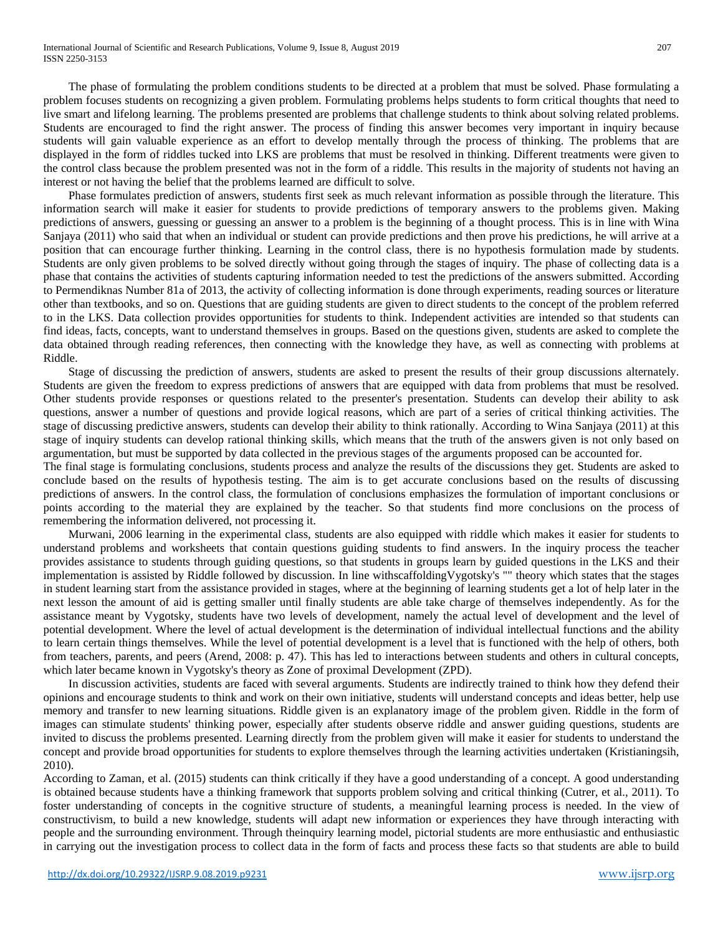International Journal of Scientific and Research Publications, Volume 9, Issue 8, August 2019 207 ISSN 2250-3153

The phase of formulating the problem conditions students to be directed at a problem that must be solved. Phase formulating a problem focuses students on recognizing a given problem. Formulating problems helps students to form critical thoughts that need to live smart and lifelong learning. The problems presented are problems that challenge students to think about solving related problems. Students are encouraged to find the right answer. The process of finding this answer becomes very important in inquiry because students will gain valuable experience as an effort to develop mentally through the process of thinking. The problems that are displayed in the form of riddles tucked into LKS are problems that must be resolved in thinking. Different treatments were given to the control class because the problem presented was not in the form of a riddle. This results in the majority of students not having an interest or not having the belief that the problems learned are difficult to solve.

Phase formulates prediction of answers, students first seek as much relevant information as possible through the literature. This information search will make it easier for students to provide predictions of temporary answers to the problems given. Making predictions of answers, guessing or guessing an answer to a problem is the beginning of a thought process. This is in line with Wina Sanjaya (2011) who said that when an individual or student can provide predictions and then prove his predictions, he will arrive at a position that can encourage further thinking. Learning in the control class, there is no hypothesis formulation made by students. Students are only given problems to be solved directly without going through the stages of inquiry. The phase of collecting data is a phase that contains the activities of students capturing information needed to test the predictions of the answers submitted. According to Permendiknas Number 81a of 2013, the activity of collecting information is done through experiments, reading sources or literature other than textbooks, and so on. Questions that are guiding students are given to direct students to the concept of the problem referred to in the LKS. Data collection provides opportunities for students to think. Independent activities are intended so that students can find ideas, facts, concepts, want to understand themselves in groups. Based on the questions given, students are asked to complete the data obtained through reading references, then connecting with the knowledge they have, as well as connecting with problems at Riddle.

Stage of discussing the prediction of answers, students are asked to present the results of their group discussions alternately. Students are given the freedom to express predictions of answers that are equipped with data from problems that must be resolved. Other students provide responses or questions related to the presenter's presentation. Students can develop their ability to ask questions, answer a number of questions and provide logical reasons, which are part of a series of critical thinking activities. The stage of discussing predictive answers, students can develop their ability to think rationally. According to Wina Sanjaya (2011) at this stage of inquiry students can develop rational thinking skills, which means that the truth of the answers given is not only based on argumentation, but must be supported by data collected in the previous stages of the arguments proposed can be accounted for.

The final stage is formulating conclusions, students process and analyze the results of the discussions they get. Students are asked to conclude based on the results of hypothesis testing. The aim is to get accurate conclusions based on the results of discussing predictions of answers. In the control class, the formulation of conclusions emphasizes the formulation of important conclusions or points according to the material they are explained by the teacher. So that students find more conclusions on the process of remembering the information delivered, not processing it.

Murwani, 2006 learning in the experimental class, students are also equipped with riddle which makes it easier for students to understand problems and worksheets that contain questions guiding students to find answers. In the inquiry process the teacher provides assistance to students through guiding questions, so that students in groups learn by guided questions in the LKS and their implementation is assisted by Riddle followed by discussion. In line withscaffoldingVygotsky's "" theory which states that the stages in student learning start from the assistance provided in stages, where at the beginning of learning students get a lot of help later in the next lesson the amount of aid is getting smaller until finally students are able take charge of themselves independently. As for the assistance meant by Vygotsky, students have two levels of development, namely the actual level of development and the level of potential development. Where the level of actual development is the determination of individual intellectual functions and the ability to learn certain things themselves. While the level of potential development is a level that is functioned with the help of others, both from teachers, parents, and peers (Arend, 2008: p. 47). This has led to interactions between students and others in cultural concepts, which later became known in Vygotsky's theory as Zone of proximal Development (ZPD).

In discussion activities, students are faced with several arguments. Students are indirectly trained to think how they defend their opinions and encourage students to think and work on their own initiative, students will understand concepts and ideas better, help use memory and transfer to new learning situations. Riddle given is an explanatory image of the problem given. Riddle in the form of images can stimulate students' thinking power, especially after students observe riddle and answer guiding questions, students are invited to discuss the problems presented. Learning directly from the problem given will make it easier for students to understand the concept and provide broad opportunities for students to explore themselves through the learning activities undertaken (Kristianingsih, 2010).

According to Zaman, et al. (2015) students can think critically if they have a good understanding of a concept. A good understanding is obtained because students have a thinking framework that supports problem solving and critical thinking (Cutrer, et al., 2011). To foster understanding of concepts in the cognitive structure of students, a meaningful learning process is needed. In the view of constructivism, to build a new knowledge, students will adapt new information or experiences they have through interacting with people and the surrounding environment. Through theinquiry learning model, pictorial students are more enthusiastic and enthusiastic in carrying out the investigation process to collect data in the form of facts and process these facts so that students are able to build